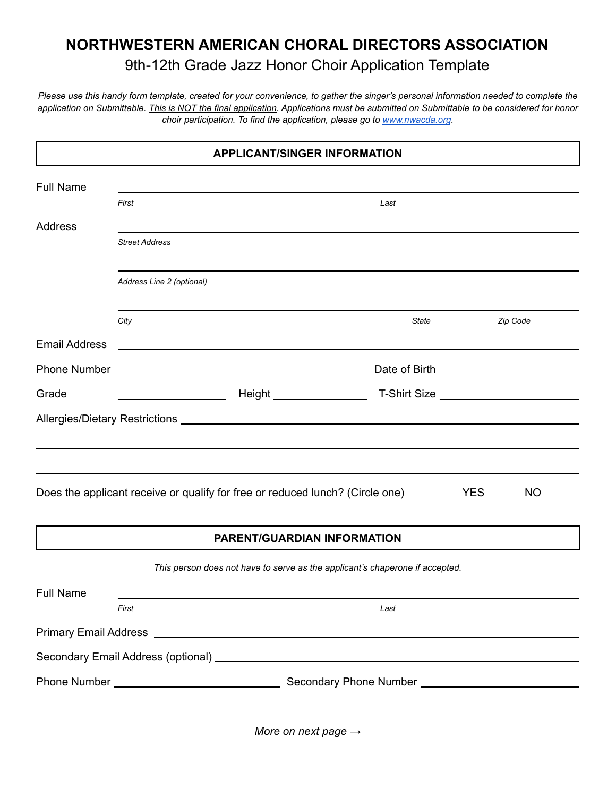## **NORTHWESTERN AMERICAN CHORAL DIRECTORS ASSOCIATION** 9th-12th Grade Jazz Honor Choir Application Template

*Please use this handy form template, created for your convenience, to gather the singer's personal information needed to complete the application on Submittable. This is NOT the final application. Applications must be submitted on Submittable to be considered for honor choir participation. To find the application, please go to [www.nwacda.org](http://www.nwacda.org).*

|                      |                           | <b>APPLICANT/SINGER INFORMATION</b>                                                                                  |       |            |           |
|----------------------|---------------------------|----------------------------------------------------------------------------------------------------------------------|-------|------------|-----------|
| <b>Full Name</b>     |                           |                                                                                                                      |       |            |           |
|                      | First                     |                                                                                                                      | Last  |            |           |
| <b>Address</b>       |                           |                                                                                                                      |       |            |           |
|                      | <b>Street Address</b>     |                                                                                                                      |       |            |           |
|                      | Address Line 2 (optional) |                                                                                                                      |       |            |           |
|                      | City                      |                                                                                                                      | State |            | Zip Code  |
| <b>Email Address</b> |                           |                                                                                                                      |       |            |           |
| Phone Number         |                           | <u> 1989 - Johann Barbara, martin amerikan basar dan bahasa dalam pengaran basar dalam pengaran basar dalam peng</u> |       |            |           |
| Grade                |                           |                                                                                                                      |       |            |           |
|                      |                           |                                                                                                                      |       |            |           |
|                      |                           |                                                                                                                      |       |            |           |
|                      |                           |                                                                                                                      |       |            |           |
|                      |                           | Does the applicant receive or qualify for free or reduced lunch? (Circle one)                                        |       | <b>YES</b> | <b>NO</b> |
|                      |                           | <b>PARENT/GUARDIAN INFORMATION</b>                                                                                   |       |            |           |
|                      |                           | This person does not have to serve as the applicant's chaperone if accepted.                                         |       |            |           |
| <b>Full Name</b>     |                           |                                                                                                                      |       |            |           |
|                      | First                     |                                                                                                                      | Last  |            |           |
|                      |                           |                                                                                                                      |       |            |           |
|                      |                           |                                                                                                                      |       |            |           |
|                      |                           |                                                                                                                      |       |            |           |
|                      |                           |                                                                                                                      |       |            |           |

*More on next page →*